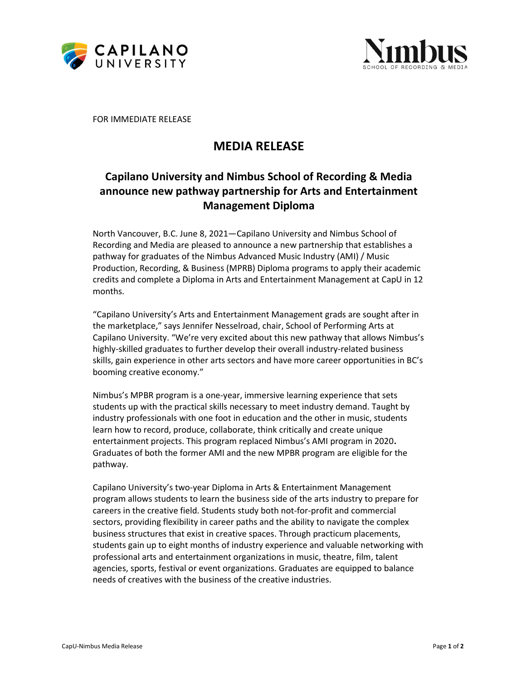



FOR IMMEDIATE RELEASE

## MEDIA RELEASE

## Capilano University and Nimbus School of Recording & Media announce new pathway partnership for Arts and Entertainment Management Diploma

North Vancouver, B.C. June 8, 2021—Capilano University and Nimbus School of Recording and Media are pleased to announce a new partnership that establishes a pathway for graduates of the Nimbus Advanced Music Industry (AMI) / Music Production, Recording, & Business (MPRB) Diploma programs to apply their academic credits and complete a Diploma in Arts and Entertainment Management at CapU in 12 months.

"Capilano University's Arts and Entertainment Management grads are sought after in the marketplace," says Jennifer Nesselroad, chair, School of Performing Arts at Capilano University. "We're very excited about this new pathway that allows Nimbus's highly-skilled graduates to further develop their overall industry-related business skills, gain experience in other arts sectors and have more career opportunities in BC's booming creative economy."

Nimbus's MPBR program is a one-year, immersive learning experience that sets students up with the practical skills necessary to meet industry demand. Taught by industry professionals with one foot in education and the other in music, students learn how to record, produce, collaborate, think critically and create unique entertainment projects. This program replaced Nimbus's AMI program in 2020. Graduates of both the former AMI and the new MPBR program are eligible for the pathway.

Capilano University's two-year Diploma in Arts & Entertainment Management program allows students to learn the business side of the arts industry to prepare for careers in the creative field. Students study both not-for-profit and commercial sectors, providing flexibility in career paths and the ability to navigate the complex business structures that exist in creative spaces. Through practicum placements, students gain up to eight months of industry experience and valuable networking with professional arts and entertainment organizations in music, theatre, film, talent agencies, sports, festival or event organizations. Graduates are equipped to balance needs of creatives with the business of the creative industries.